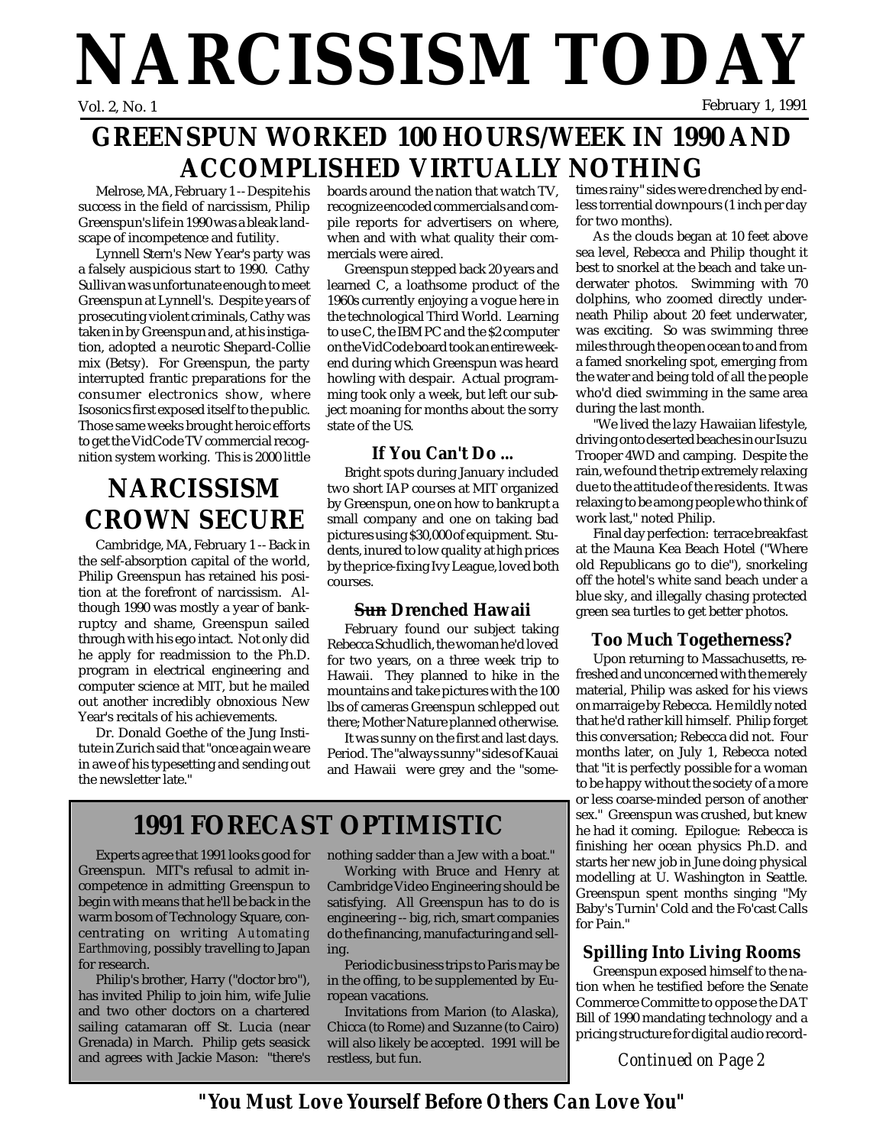# **NARCISSISM TODAY** February 1, 1991

## **GREENSPUN WORKED 100 HOURS/WEEK IN 1990 AND ACCOMPLISHED VIRTUALLY NOTHING**

Melrose, MA, February 1 -- Despite his success in the field of narcissism, Philip Greenspun's life in 1990 was a bleak landscape of incompetence and futility.

Lynnell Stern's New Year's party was a falsely auspicious start to 1990. Cathy Sullivan was unfortunate enough to meet Greenspun at Lynnell's. Despite years of prosecuting violent criminals, Cathy was taken in by Greenspun and, at his instigation, adopted a neurotic Shepard-Collie mix (Betsy). For Greenspun, the party interrupted frantic preparations for the consumer electronics show, where Isosonics first exposed itself to the public. Those same weeks brought heroic efforts to get the VidCode TV commercial recognition system working. This is 2000 little

## **NARCISSISM CROWN SECURE**

Cambridge, MA, February 1 -- Back in the self-absorption capital of the world, Philip Greenspun has retained his position at the forefront of narcissism. Although 1990 was mostly a year of bankruptcy and shame, Greenspun sailed through with his ego intact. Not only did he apply for readmission to the Ph.D. program in electrical engineering and computer science at MIT, but he mailed out another incredibly obnoxious New Year's recitals of his achievements.

Dr. Donald Goethe of the Jung Institute in Zurich said that "once again we are in awe of his typesetting and sending out the newsletter late."

boards around the nation that watch TV, recognize encoded commercials and compile reports for advertisers on where, when and with what quality their commercials were aired.

Greenspun stepped back 20 years and learned C, a loathsome product of the 1960s currently enjoying a vogue here in the technological Third World. Learning to use C, the IBM PC and the \$2 computer on the VidCode board took an entire weekend during which Greenspun was heard howling with despair. Actual programming took only a week, but left our subject moaning for months about the sorry state of the US.

### **If You Can't Do ...**

Bright spots during January included two short IAP courses at MIT organized by Greenspun, one on how to bankrupt a small company and one on taking bad pictures using \$30,000 of equipment. Students, inured to low quality at high prices by the price-fixing Ivy League, loved both courses.

### **Sun Drenched Hawaii**

February found our subject taking Rebecca Schudlich, the woman he'd loved for two years, on a three week trip to Hawaii. They planned to hike in the mountains and take pictures with the 100 lbs of cameras Greenspun schlepped out there; Mother Nature planned otherwise.

It was sunny on the first and last days. Period. The "always sunny" sides of Kauai and Hawaii were grey and the "some-

## **1991 FORECAST OPTIMISTIC**

Experts agree that 1991 looks good for Greenspun. MIT's refusal to admit incompetence in admitting Greenspun to begin with means that he'll be back in the warm bosom of Technology Square, concentrating on writing *Automating Earthmoving*, possibly travelling to Japan for research.

Philip's brother, Harry ("doctor bro"), has invited Philip to join him, wife Julie and two other doctors on a chartered sailing catamaran off St. Lucia (near Grenada) in March. Philip gets seasick and agrees with Jackie Mason: "there's

nothing sadder than a Jew with a boat."

Working with Bruce and Henry at Cambridge Video Engineering should be satisfying. All Greenspun has to do is engineering -- big, rich, smart companies do the financing, manufacturing and selling.

Periodic business trips to Paris may be in the offing, to be supplemented by European vacations.

Invitations from Marion (to Alaska), Chicca (to Rome) and Suzanne (to Cairo) will also likely be accepted. 1991 will be restless, but fun.

times rainy" sides were drenched by endless torrential downpours (1 inch per day for two months).

As the clouds began at 10 feet above sea level, Rebecca and Philip thought it best to snorkel at the beach and take underwater photos. Swimming with 70 dolphins, who zoomed directly underneath Philip about 20 feet underwater, was exciting. So was swimming three miles through the open ocean to and from a famed snorkeling spot, emerging from the water and being told of all the people who'd died swimming in the same area during the last month.

"We lived the lazy Hawaiian lifestyle, driving onto deserted beaches in our Isuzu Trooper 4WD and camping. Despite the rain, we found the trip extremely relaxing due to the attitude of the residents. It was relaxing to be among people who think of work last," noted Philip.

Final day perfection: terrace breakfast at the Mauna Kea Beach Hotel ("Where old Republicans go to die"), snorkeling off the hotel's white sand beach under a blue sky, and illegally chasing protected green sea turtles to get better photos.

### **Too Much Togetherness?**

Upon returning to Massachusetts, refreshed and unconcerned with the merely material, Philip was asked for his views on marraige by Rebecca. He mildly noted that he'd rather kill himself. Philip forget this conversation; Rebecca did not. Four months later, on July 1, Rebecca noted that "it is perfectly possible for a woman to be happy without the society of a more or less coarse-minded person of another sex." Greenspun was crushed, but knew he had it coming. Epilogue: Rebecca is finishing her ocean physics Ph.D. and starts her new job in June doing physical modelling at U. Washington in Seattle. Greenspun spent months singing "My Baby's Turnin' Cold and the Fo'cast Calls for Pain."

### **Spilling Into Living Rooms**

Greenspun exposed himself to the nation when he testified before the Senate Commerce Committe to oppose the DAT Bill of 1990 mandating technology and a pricing structure for digital audio record-

*Continued on Page 2*

*"You Must Love Yourself Before Others Can Love You"*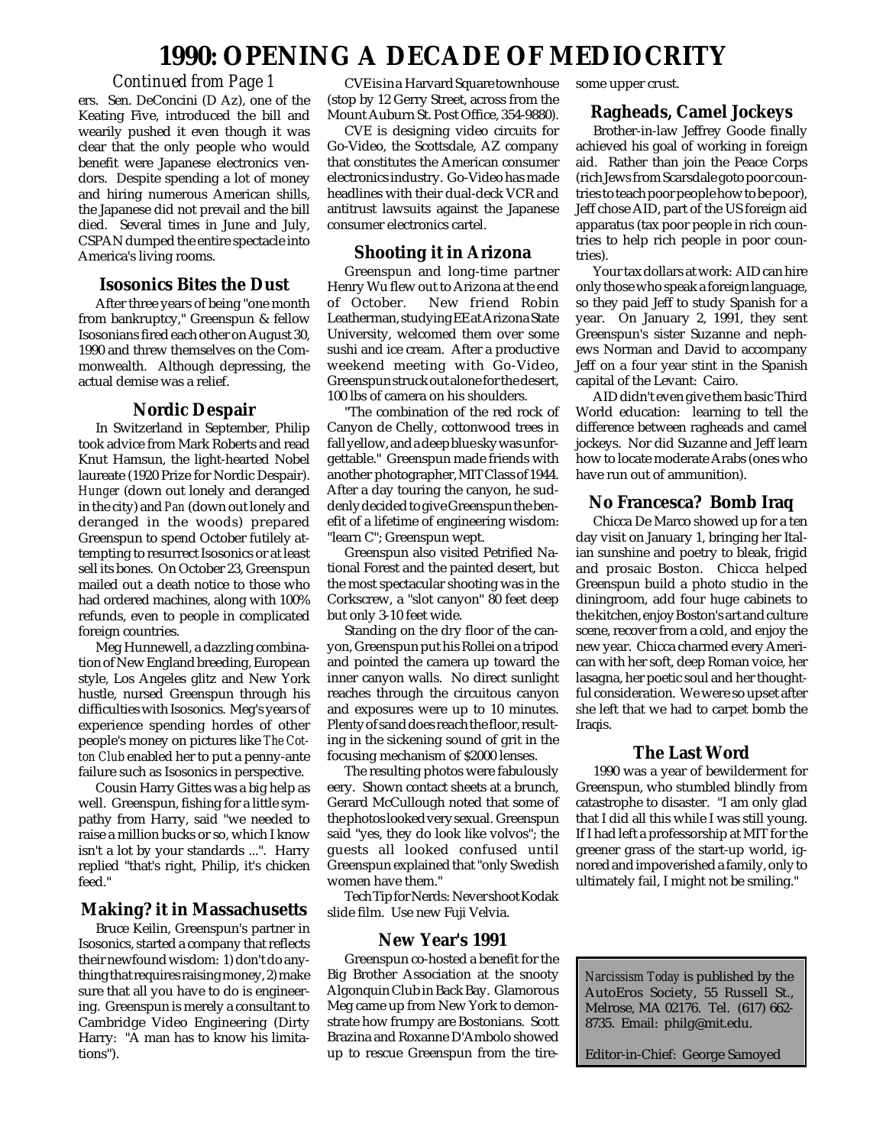### **1990: OPENING A DECADE OF MEDIOCRITY**

#### *Continued from Page 1*

ers. Sen. DeConcini (D Az), one of the Keating Five, introduced the bill and wearily pushed it even though it was clear that the only people who would benefit were Japanese electronics vendors. Despite spending a lot of money and hiring numerous American shills, the Japanese did not prevail and the bill died. Several times in June and July, CSPAN dumped the entire spectacle into America's living rooms.

#### **Isosonics Bites the Dust**

After three years of being "one month from bankruptcy," Greenspun & fellow Isosonians fired each other on August 30, 1990 and threw themselves on the Commonwealth. Although depressing, the actual demise was a relief.

#### **Nordic Despair**

In Switzerland in September, Philip took advice from Mark Roberts and read Knut Hamsun, the light-hearted Nobel laureate (1920 Prize for Nordic Despair). *Hunger* (down out lonely and deranged in the city) and *Pan* (down out lonely and deranged in the woods) prepared Greenspun to spend October futilely attempting to resurrect Isosonics or at least sell its bones. On October 23, Greenspun mailed out a death notice to those who had ordered machines, along with 100% refunds, even to people in complicated foreign countries.

Meg Hunnewell, a dazzling combination of New England breeding, European style, Los Angeles glitz and New York hustle, nursed Greenspun through his difficulties with Isosonics. Meg's years of experience spending hordes of other people's money on pictures like *The Cotton Club* enabled her to put a penny-ante failure such as Isosonics in perspective.

Cousin Harry Gittes was a big help as well. Greenspun, fishing for a little sympathy from Harry, said "we needed to raise a million bucks or so, which I know isn't a lot by your standards ...". Harry replied "that's right, Philip, it's chicken feed."

#### **Making? it in Massachusetts**

Bruce Keilin, Greenspun's partner in Isosonics, started a company that reflects their newfound wisdom: 1) don't do anything that requires raising money, 2) make sure that all you have to do is engineering. Greenspun is merely a consultant to Cambridge Video Engineering (Dirty Harry: "A man has to know his limitations").

CVE is in a Harvard Square townhouse (stop by 12 Gerry Street, across from the Mount Auburn St. Post Office, 354-9880).

CVE is designing video circuits for Go-Video, the Scottsdale, AZ company that constitutes the American consumer electronics industry. Go-Video has made headlines with their dual-deck VCR and antitrust lawsuits against the Japanese consumer electronics cartel.

#### **Shooting it in Arizona**

Greenspun and long-time partner Henry Wu flew out to Arizona at the end New friend Robin Leatherman, studying EE at Arizona State University, welcomed them over some sushi and ice cream. After a productive weekend meeting with Go-Video, Greenspun struck out alone for the desert, 100 lbs of camera on his shoulders.

"The combination of the red rock of Canyon de Chelly, cottonwood trees in fall yellow, and a deep blue sky was unforgettable." Greenspun made friends with another photographer, MIT Class of 1944. After a day touring the canyon, he suddenly decided to give Greenspun the benefit of a lifetime of engineering wisdom: "learn C"; Greenspun wept.

Greenspun also visited Petrified National Forest and the painted desert, but the most spectacular shooting was in the Corkscrew, a "slot canyon" 80 feet deep but only 3-10 feet wide.

Standing on the dry floor of the canyon, Greenspun put his Rollei on a tripod and pointed the camera up toward the inner canyon walls. No direct sunlight reaches through the circuitous canyon and exposures were up to 10 minutes. Plenty of sand does reach the floor, resulting in the sickening sound of grit in the focusing mechanism of \$2000 lenses.

The resulting photos were fabulously eery. Shown contact sheets at a brunch, Gerard McCullough noted that some of the photos looked very sexual. Greenspun said "yes, they do look like volvos"; the guests all looked confused until Greenspun explained that "only Swedish women have them."

Tech Tip for Nerds: Never shoot Kodak slide film. Use new Fuji Velvia.

#### **New Year's 1991**

Greenspun co-hosted a benefit for the Big Brother Association at the snooty Algonquin Club in Back Bay. Glamorous Meg came up from New York to demonstrate how frumpy are Bostonians. Scott Brazina and Roxanne D'Ambolo showed up to rescue Greenspun from the tiresome upper crust.

#### **Ragheads, Camel Jockeys**

Brother-in-law Jeffrey Goode finally achieved his goal of working in foreign aid. Rather than join the Peace Corps (rich Jews from Scarsdale goto poor countries to teach poor people how to be poor), Jeff chose AID, part of the US foreign aid apparatus (tax poor people in rich countries to help rich people in poor countries).

Your tax dollars at work: AID can hire only those who speak a foreign language, so they paid Jeff to study Spanish for a year. On January 2, 1991, they sent Greenspun's sister Suzanne and nephews Norman and David to accompany Jeff on a four year stint in the Spanish capital of the Levant: Cairo.

AID didn't even give them basic Third World education: learning to tell the difference between ragheads and camel jockeys. Nor did Suzanne and Jeff learn how to locate moderate Arabs (ones who have run out of ammunition).

#### **No Francesca? Bomb Iraq**

Chicca De Marco showed up for a ten day visit on January 1, bringing her Italian sunshine and poetry to bleak, frigid and prosaic Boston. Chicca helped Greenspun build a photo studio in the diningroom, add four huge cabinets to the kitchen, enjoy Boston's art and culture scene, recover from a cold, and enjoy the new year. Chicca charmed every American with her soft, deep Roman voice, her lasagna, her poetic soul and her thoughtful consideration. We were so upset after she left that we had to carpet bomb the Iraqis.

#### **The Last Word**

1990 was a year of bewilderment for Greenspun, who stumbled blindly from catastrophe to disaster. "I am only glad that I did all this while I was still young. If I had left a professorship at MIT for the greener grass of the start-up world, ignored and impoverished a family, only to ultimately fail, I might not be smiling."

*Narcissism Today* is published by the AutoEros Society, 55 Russell St., Melrose, MA 02176. Tel. (617) 662- 8735. Email: philg@mit.edu.

Editor-in-Chief: George Samoyed